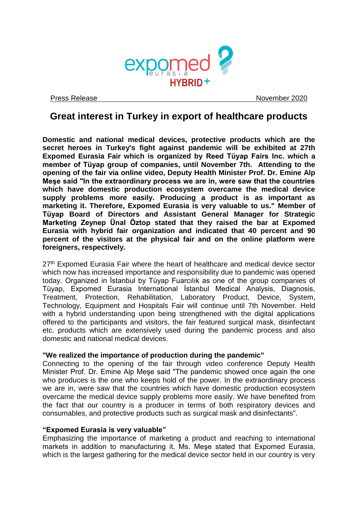

Press Release November 2020

# **Great interest in Turkey in export of healthcare products**

**Domestic and national medical devices, protective products which are the secret heroes in Turkey's fight against pandemic will be exhibited at 27th Expomed Eurasia Fair which is organized by Reed Tüyap Fairs Inc. which a member of Tüyap group of companies, until November 7th. Attending to the opening of the fair via online video, Deputy Health Minister Prof. Dr. Emine Alp Meşe said "In the extraordinary process we are in, were saw that the countries which have domestic production ecosystem overcame the medical device supply problems more easily. Producing a product is as important as marketing it. Therefore, Expomed Eurasia is very valuable to us." Member of Tüyap Board of Directors and Assistant General Manager for Strategic Marketing Zeynep Ünal Öztop stated that they raised the bar at Expomed Eurasia with hybrid fair organization and indicated that 40 percent and 90 percent of the visitors at the physical fair and on the online platform were foreigners, respectively.**

27<sup>th</sup> Expomed Eurasia Fair where the heart of healthcare and medical device sector which now has increased importance and responsibility due to pandemic was opened today. Organized in İstanbul by Tüyap Fuarcılık as one of the group companies of Tüyap, Expomed Eurasia International İstanbul Medical Analysis, Diagnosis, Treatment, Protection, Rehabilitation, Laboratory Product, Device, System, Technology, Equipment and Hospitals Fair will continue until 7th November. Held with a hybrid understanding upon being strengthened with the digital applications offered to the participants and visitors, the fair featured surgical mask, disinfectant etc. products which are extensively used during the pandemic process and also domestic and national medical devices.

# **"We realized the importance of production during the pandemic"**

Connecting to the opening of the fair through video conference Deputy Health Minister Prof. Dr. Emine Alp Meşe said "The pandemic showed once again the one who produces is the one who keeps hold of the power. In the extraordinary process we are in, were saw that the countries which have domestic production ecosystem overcame the medical device supply problems more easily. We have benefited from the fact that our country is a producer in terms of both respiratory devices and consumables, and protective products such as surgical mask and disinfectants".

# **"Expomed Eurasia is very valuable"**

Emphasizing the importance of marketing a product and reaching to international markets in addition to manufacturing it, Ms. Meşe stated that Expomed Eurasia, which is the largest gathering for the medical device sector held in our country is very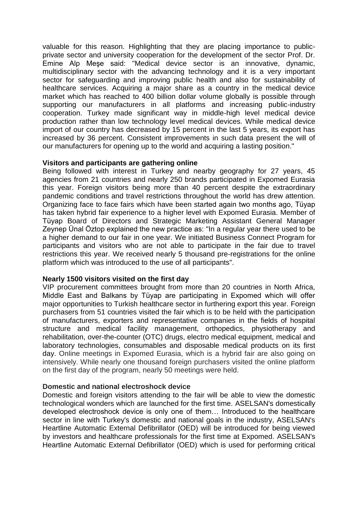valuable for this reason. Highlighting that they are placing importance to publicprivate sector and university cooperation for the development of the sector Prof. Dr. Emine Alp Meşe said: "Medical device sector is an innovative, dynamic, multidisciplinary sector with the advancing technology and it is a very important sector for safeguarding and improving public health and also for sustainability of healthcare services. Acquiring a major share as a country in the medical device market which has reached to 400 billion dollar volume globally is possible through supporting our manufacturers in all platforms and increasing public-industry cooperation. Turkey made significant way in middle-high level medical device production rather than low technology level medical devices. While medical device import of our country has decreased by 15 percent in the last 5 years, its export has increased by 36 percent. Consistent improvements in such data present the will of our manufacturers for opening up to the world and acquiring a lasting position."

## **Visitors and participants are gathering online**

Being followed with interest in Turkey and nearby geography for 27 years, 45 agencies from 21 countries and nearly 250 brands participated in Expomed Eurasia this year. Foreign visitors being more than 40 percent despite the extraordinary pandemic conditions and travel restrictions throughout the world has drew attention. Organizing face to face fairs which have been started again two months ago, Tüyap has taken hybrid fair experience to a higher level with Expomed Eurasia. Member of Tüyap Board of Directors and Strategic Marketing Assistant General Manager Zeynep Ünal Öztop explained the new practice as: "In a regular year there used to be a higher demand to our fair in one year. We initiated Business Connect Program for participants and visitors who are not able to participate in the fair due to travel restrictions this year. We received nearly 5 thousand pre-registrations for the online platform which was introduced to the use of all participants".

### **Nearly 1500 visitors visited on the first day**

VIP procurement committees brought from more than 20 countries in North Africa, Middle East and Balkans by Tüyap are participating in Expomed which will offer major opportunities to Turkish healthcare sector in furthering export this year. Foreign purchasers from 51 countries visited the fair which is to be held with the participation of manufacturers, exporters and representative companies in the fields of hospital structure and medical facility management, orthopedics, physiotherapy and rehabilitation, over-the-counter (OTC) drugs, electro medical equipment, medical and laboratory technologies, consumables and disposable medical products on its first day. Online meetings in Expomed Eurasia, which is a hybrid fair are also going on intensively. While nearly one thousand foreign purchasers visited the online platform on the first day of the program, nearly 50 meetings were held.

### **Domestic and national electroshock device**

Domestic and foreign visitors attending to the fair will be able to view the domestic technological wonders which are launched for the first time. ASELSAN's domestically developed electroshock device is only one of them… Introduced to the healthcare sector in line with Turkey's domestic and national goals in the industry, ASELSAN's Heartline Automatic External Defibrillator (OED) will be introduced for being viewed by investors and healthcare professionals for the first time at Expomed. ASELSAN's Heartline Automatic External Defibrillator (OED) which is used for performing critical